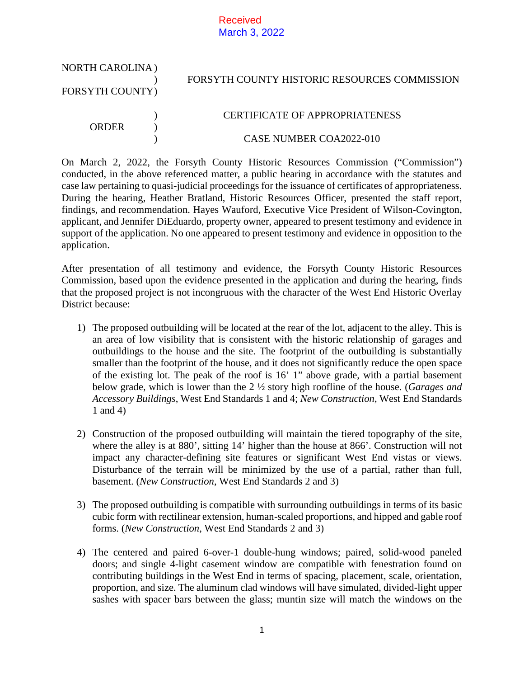## Received March 3, 2022

| <b>NORTH CAROLINA</b> ) | FORSYTH COUNTY HISTORIC RESOURCES COMMISSION |
|-------------------------|----------------------------------------------|
| FORSYTH COUNTY)         |                                              |
| ORDER                   | CERTIFICATE OF APPROPRIATENESS               |
|                         | CASE NUMBER COA2022-010                      |

On March 2, 2022, the Forsyth County Historic Resources Commission ("Commission") conducted, in the above referenced matter, a public hearing in accordance with the statutes and case law pertaining to quasi-judicial proceedings for the issuance of certificates of appropriateness. During the hearing, Heather Bratland, Historic Resources Officer, presented the staff report, findings, and recommendation. Hayes Wauford, Executive Vice President of Wilson-Covington, applicant, and Jennifer DiEduardo, property owner, appeared to present testimony and evidence in support of the application. No one appeared to present testimony and evidence in opposition to the application.

After presentation of all testimony and evidence, the Forsyth County Historic Resources Commission, based upon the evidence presented in the application and during the hearing, finds that the proposed project is not incongruous with the character of the West End Historic Overlay District because:

- 1) The proposed outbuilding will be located at the rear of the lot, adjacent to the alley. This is an area of low visibility that is consistent with the historic relationship of garages and outbuildings to the house and the site. The footprint of the outbuilding is substantially smaller than the footprint of the house, and it does not significantly reduce the open space of the existing lot. The peak of the roof is 16' 1" above grade, with a partial basement below grade, which is lower than the 2 ½ story high roofline of the house. (*Garages and Accessory Buildings*, West End Standards 1 and 4; *New Construction*, West End Standards 1 and 4)
- 2) Construction of the proposed outbuilding will maintain the tiered topography of the site, where the alley is at 880', sitting 14' higher than the house at 866'. Construction will not impact any character-defining site features or significant West End vistas or views. Disturbance of the terrain will be minimized by the use of a partial, rather than full, basement. (*New Construction*, West End Standards 2 and 3)
- 3) The proposed outbuilding is compatible with surrounding outbuildings in terms of its basic cubic form with rectilinear extension, human-scaled proportions, and hipped and gable roof forms. (*New Construction*, West End Standards 2 and 3)
- 4) The centered and paired 6-over-1 double-hung windows; paired, solid-wood paneled doors; and single 4-light casement window are compatible with fenestration found on contributing buildings in the West End in terms of spacing, placement, scale, orientation, proportion, and size. The aluminum clad windows will have simulated, divided-light upper sashes with spacer bars between the glass; muntin size will match the windows on the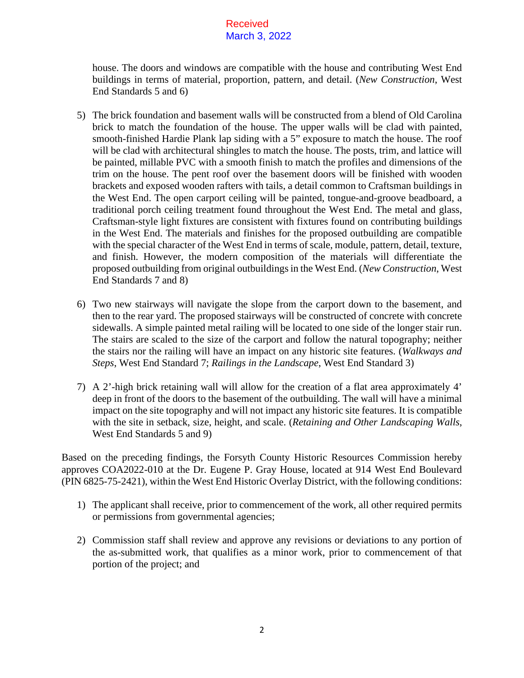## Received March 3, 2022

house. The doors and windows are compatible with the house and contributing West End buildings in terms of material, proportion, pattern, and detail. (*New Construction*, West End Standards 5 and 6)

- 5) The brick foundation and basement walls will be constructed from a blend of Old Carolina brick to match the foundation of the house. The upper walls will be clad with painted, smooth-finished Hardie Plank lap siding with a 5" exposure to match the house. The roof will be clad with architectural shingles to match the house. The posts, trim, and lattice will be painted, millable PVC with a smooth finish to match the profiles and dimensions of the trim on the house. The pent roof over the basement doors will be finished with wooden brackets and exposed wooden rafters with tails, a detail common to Craftsman buildings in the West End. The open carport ceiling will be painted, tongue-and-groove beadboard, a traditional porch ceiling treatment found throughout the West End. The metal and glass, Craftsman-style light fixtures are consistent with fixtures found on contributing buildings in the West End. The materials and finishes for the proposed outbuilding are compatible with the special character of the West End in terms of scale, module, pattern, detail, texture, and finish. However, the modern composition of the materials will differentiate the proposed outbuilding from original outbuildings in the West End. (*New Construction*, West End Standards 7 and 8)
- 6) Two new stairways will navigate the slope from the carport down to the basement, and then to the rear yard. The proposed stairways will be constructed of concrete with concrete sidewalls. A simple painted metal railing will be located to one side of the longer stair run. The stairs are scaled to the size of the carport and follow the natural topography; neither the stairs nor the railing will have an impact on any historic site features. (*Walkways and Steps*, West End Standard 7; *Railings in the Landscape*, West End Standard 3)
- 7) A 2'-high brick retaining wall will allow for the creation of a flat area approximately 4' deep in front of the doors to the basement of the outbuilding. The wall will have a minimal impact on the site topography and will not impact any historic site features. It is compatible with the site in setback, size, height, and scale. (*Retaining and Other Landscaping Walls*, West End Standards 5 and 9)

Based on the preceding findings, the Forsyth County Historic Resources Commission hereby approves COA2022-010 at the Dr. Eugene P. Gray House, located at 914 West End Boulevard (PIN 6825-75-2421), within the West End Historic Overlay District, with the following conditions:

- 1) The applicant shall receive, prior to commencement of the work, all other required permits or permissions from governmental agencies;
- 2) Commission staff shall review and approve any revisions or deviations to any portion of the as-submitted work, that qualifies as a minor work, prior to commencement of that portion of the project; and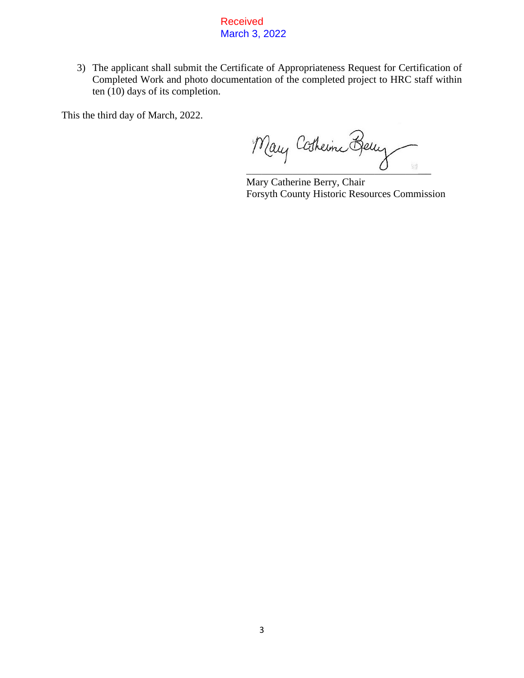Received March 3, 2022

3) The applicant shall submit the Certificate of Appropriateness Request for Certification of Completed Work and photo documentation of the completed project to HRC staff within ten (10) days of its completion.

This the third day of March, 2022.

Mary Catherine Berry  $\overline{C}$  , where  $\overline{C}$ 

Mary Catherine Berry, Chair Forsyth County Historic Resources Commission